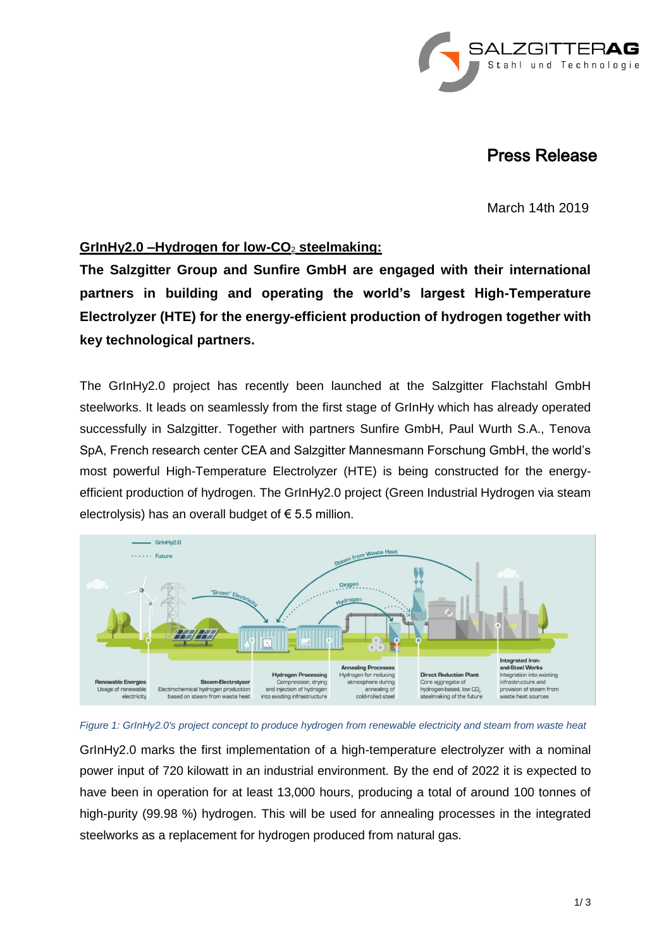

## Press Release

March 14th 2019

## **GrInHy2.0 –Hydrogen for low-CO**<sup>2</sup> **steelmaking:**

**The Salzgitter Group and Sunfire GmbH are engaged with their international partners in building and operating the world's largest High-Temperature Electrolyzer (HTE) for the energy-efficient production of hydrogen together with key technological partners.**

The GrInHy2.0 project has recently been launched at the Salzgitter Flachstahl GmbH steelworks. It leads on seamlessly from the first stage of GrInHy which has already operated successfully in Salzgitter. Together with partners Sunfire GmbH, Paul Wurth S.A., Tenova SpA, French research center CEA and Salzgitter Mannesmann Forschung GmbH, the world's most powerful High-Temperature Electrolyzer (HTE) is being constructed for the energyefficient production of hydrogen. The GrInHy2.0 project (Green Industrial Hydrogen via steam electrolysis) has an overall budget of  $\epsilon$  5.5 million.





GrInHy2.0 marks the first implementation of a high-temperature electrolyzer with a nominal power input of 720 kilowatt in an industrial environment. By the end of 2022 it is expected to have been in operation for at least 13,000 hours, producing a total of around 100 tonnes of high-purity (99.98 %) hydrogen. This will be used for annealing processes in the integrated steelworks as a replacement for hydrogen produced from natural gas.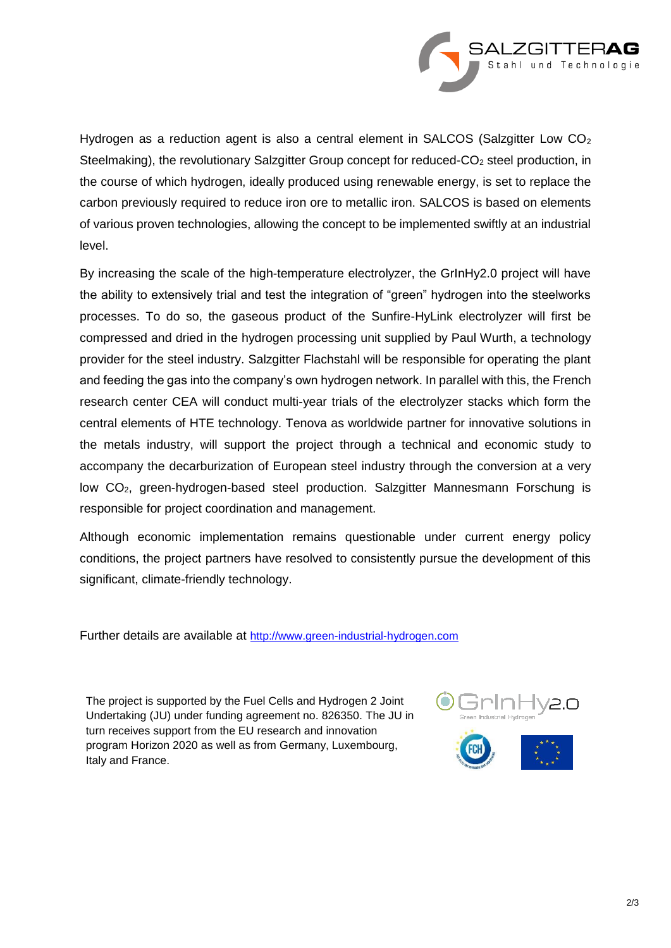

Hydrogen as a reduction agent is also a central element in SALCOS (Salzgitter Low CO<sub>2</sub> Steelmaking), the revolutionary Salzgitter Group concept for reduced- $CO<sub>2</sub>$  steel production, in the course of which hydrogen, ideally produced using renewable energy, is set to replace the carbon previously required to reduce iron ore to metallic iron. SALCOS is based on elements of various proven technologies, allowing the concept to be implemented swiftly at an industrial level.

By increasing the scale of the high-temperature electrolyzer, the GrInHy2.0 project will have the ability to extensively trial and test the integration of "green" hydrogen into the steelworks processes. To do so, the gaseous product of the Sunfire-HyLink electrolyzer will first be compressed and dried in the hydrogen processing unit supplied by Paul Wurth, a technology provider for the steel industry. Salzgitter Flachstahl will be responsible for operating the plant and feeding the gas into the company's own hydrogen network. In parallel with this, the French research center CEA will conduct multi-year trials of the electrolyzer stacks which form the central elements of HTE technology. Tenova as worldwide partner for innovative solutions in the metals industry, will support the project through a technical and economic study to accompany the decarburization of European steel industry through the conversion at a very low CO<sub>2</sub>, green-hydrogen-based steel production. Salzgitter Mannesmann Forschung is responsible for project coordination and management.

Although economic implementation remains questionable under current energy policy conditions, the project partners have resolved to consistently pursue the development of this significant, climate-friendly technology.

Further details are available at [http://www.green-industrial-hydrogen.com](http://www.green-industrial-hydrogen.com/)

The project is supported by the Fuel Cells and Hydrogen 2 Joint Undertaking (JU) under funding agreement no. 826350. The JU in turn receives support from the EU research and innovation program Horizon 2020 as well as from Germany, Luxembourg, Italy and France.